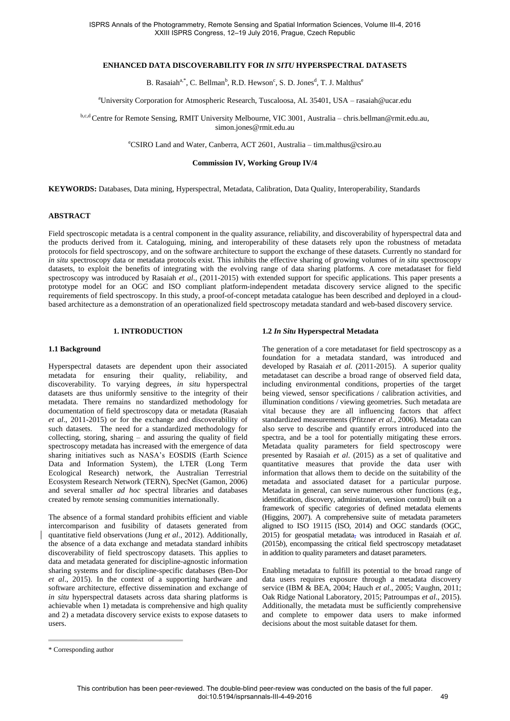## **ENHANCED DATA DISCOVERABILITY FOR** *IN SITU* **HYPERSPECTRAL DATASETS**

B. Rasaiah<sup>a,\*</sup>, C. Bellman<sup>b</sup>, R.D. Hewson<sup>c</sup>, S. D. Jones<sup>d</sup>, T. J. Malthus<sup>e</sup>

<sup>a</sup>University Corporation for Atmospheric Research, Tuscaloosa, AL 35401, USA – rasaiah@ucar.edu

b,c,d Centre for Remote Sensing, RMIT University Melbourne, VIC 3001, Australia – chris.bellman@rmit.edu.au, simon.jones@rmit.edu.au

<sup>e</sup>CSIRO Land and Water, Canberra, ACT 2601, Australia – tim.malthus@csiro.au

**Commission IV, Working Group IV/4** 

**KEYWORDS:** Databases, Data mining, Hyperspectral, Metadata, Calibration, Data Quality, Interoperability, Standards

#### **ABSTRACT**

Field spectroscopic metadata is a central component in the quality assurance, reliability, and discoverability of hyperspectral data and the products derived from it. Cataloguing, mining, and interoperability of these datasets rely upon the robustness of metadata protocols for field spectroscopy, and on the software architecture to support the exchange of these datasets. Currently no standard for *in situ* spectroscopy data or metadata protocols exist. This inhibits the effective sharing of growing volumes of *in situ* spectroscopy datasets, to exploit the benefits of integrating with the evolving range of data sharing platforms. A core metadataset for field spectroscopy was introduced by Rasaiah *et al*., (2011-2015) with extended support for specific applications. This paper presents a prototype model for an OGC and ISO compliant platform-independent metadata discovery service aligned to the specific requirements of field spectroscopy. In this study, a proof-of-concept metadata catalogue has been described and deployed in a cloudbased architecture as a demonstration of an operationalized field spectroscopy metadata standard and web-based discovery service.

## **1. INTRODUCTION**

#### **1.1 Background**

Hyperspectral datasets are dependent upon their associated metadata for ensuring their quality, reliability, and discoverability. To varying degrees, *in situ* hyperspectral datasets are thus uniformly sensitive to the integrity of their metadata. There remains no standardized methodology for documentation of field spectroscopy data or metadata (Rasaiah *et al*., 2011-2015) or for the exchange and discoverability of such datasets. The need for a standardized methodology for collecting, storing, sharing – and assuring the quality of field spectroscopy metadata has increased with the emergence of data sharing initiatives such as NASA's EOSDIS (Earth Science Data and Information System), the LTER (Long Term Ecological Research) network, the Australian Terrestrial Ecosystem Research Network (TERN), SpecNet (Gamon, 2006) and several smaller *ad hoc* spectral libraries and databases created by remote sensing communities internationally.

The absence of a formal standard prohibits efficient and viable intercomparison and fusibility of datasets generated from quantitative field observations (Jung *et al*., 2012). Additionally, the absence of a data exchange and metadata standard inhibits discoverability of field spectroscopy datasets. This applies to data and metadata generated for discipline-agnostic information sharing systems and for discipline-specific databases (Ben-Dor *et al*., 2015). In the context of a supporting hardware and software architecture, effective dissemination and exchange of *in situ* hyperspectral datasets across data sharing platforms is achievable when 1) metadata is comprehensive and high quality and 2) a metadata discovery service exists to expose datasets to users.

## **1.2** *In Situ* **Hyperspectral Metadata**

The generation of a core metadataset for field spectroscopy as a foundation for a metadata standard, was introduced and developed by Rasaiah *et al.* (2011-2015). A superior quality metadataset can describe a broad range of observed field data, including environmental conditions, properties of the target being viewed, sensor specifications / calibration activities, and illumination conditions / viewing geometries. Such metadata are vital because they are all influencing factors that affect standardized measurements (Pfitzner *et al.*, 2006). Metadata can also serve to describe and quantify errors introduced into the spectra, and be a tool for potentially mitigating these errors. Metadata quality parameters for field spectroscopy were presented by Rasaiah *et al*. (2015) as a set of qualitative and quantitative measures that provide the data user with information that allows them to decide on the suitability of the metadata and associated dataset for a particular purpose. Metadata in general, can serve numerous other functions (e.g., identification, discovery, administration, version control) built on a framework of specific categories of defined metadata elements (Higgins, 2007). A comprehensive suite of metadata parameters aligned to ISO 19115 (ISO, 2014) and OGC standards (OGC, 2015) for geospatial metadata, was introduced in Rasaiah *et al*. (2015*b*), encompassing the critical field spectroscopy metadataset in addition to quality parameters and dataset parameters.

Enabling metadata to fulfill its potential to the broad range of data users requires exposure through a metadata discovery service (IBM & BEA, 2004; Hauch *et al*., 2005; Vaughn, 2011; Oak Ridge National Laboratory, 2015; Patroumpas *et al*., 2015). Additionally, the metadata must be sufficiently comprehensive and complete to empower data users to make informed decisions about the most suitable dataset for them.

<sup>\*</sup> Corresponding author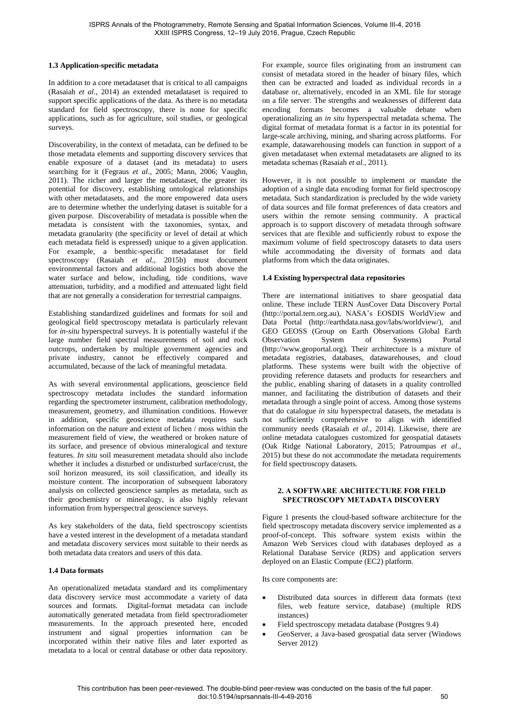## **1.3 Application-specific metadata**

In addition to a core metadataset that is critical to all campaigns (Rasaiah *et al*., 2014) an extended metadataset is required to support specific applications of the data. As there is no metadata standard for field spectroscopy, there is none for specific applications, such as for agriculture, soil studies, or geological surveys.

Discoverability, in the context of metadata, can be defined to be those metadata elements and supporting discovery services that enable exposure of a dataset (and its metadata) to users searching for it (Fegraus *et al*., 2005; Mann, 2006; Vaughn, 2011). The richer and larger the metadataset, the greater its potential for discovery, establishing ontological relationships with other metadatasets, and the more empowered data users are to determine whether the underlying dataset is suitable for a given purpose. Discoverability of metadata is possible when the metadata is consistent with the taxonomies, syntax, and metadata granularity (the specificity or level of detail at which each metadata field is expressed) unique to a given application. For example, a benthic-specific metadataset for field spectroscopy (Rasaiah *et al.*, 2015b) must document environmental factors and additional logistics both above the water surface and below, including, tide conditions, wave attenuation, turbidity, and a modified and attenuated light field that are not generally a consideration for terrestrial campaigns.

Establishing standardized guidelines and formats for soil and geological field spectroscopy metadata is particularly relevant for *in-situ* hyperspectral surveys. It is potentially wasteful if the large number field spectral measurements of soil and rock outcrops, undertaken by multiple government agencies and private industry, cannot be effectively compared and accumulated, because of the lack of meaningful metadata.

As with several environmental applications, geoscience field spectroscopy metadata includes the standard information regarding the spectrometer instrument, calibration methodology, measurement, geometry, and illumination conditions. However in addition, specific geoscience metadata requires such information on the nature and extent of lichen / moss within the measurement field of view, the weathered or broken nature of its surface, and presence of obvious mineralogical and texture features. *In situ* soil measurement metadata should also include whether it includes a disturbed or undisturbed surface/crust, the soil horizon measured, its soil classification, and ideally its moisture content. The incorporation of subsequent laboratory analysis on collected geoscience samples as metadata, such as their geochemistry or mineralogy, is also highly relevant information from hyperspectral geoscience surveys.

As key stakeholders of the data, field spectroscopy scientists have a vested interest in the development of a metadata standard and metadata discovery services most suitable to their needs as both metadata data creators and users of this data.

#### **1.4 Data formats**

An operationalized metadata standard and its complimentary data discovery service must accommodate a variety of data sources and formats. Digital-format metadata can include automatically generated metadata from field spectroradiometer measurements. In the approach presented here, encoded instrument and signal properties information can be incorporated within their native files and later exported as metadata to a local or central database or other data repository.

For example, source files originating from an instrument can consist of metadata stored in the header of binary files, which then can be extracted and loaded as individual records in a database or, alternatively, encoded in an XML file for storage on a file server. The strengths and weaknesses of different data encoding formats becomes a valuable debate when operationalizing an *in situ* hyperspectral metadata schema. The digital format of metadata format is a factor in its potential for large-scale archiving, mining, and sharing across platforms. For example, datawarehousing models can function in support of a given metadataset when external metadatasets are aligned to its metadata schemas (Rasaiah *et al.,* 2011).

However, it is not possible to implement or mandate the adoption of a single data encoding format for field spectroscopy metadata. Such standardization is precluded by the wide variety of data sources and file format preferences of data creators and users within the remote sensing community. A practical approach is to support discovery of metadata through software services that are flexible and sufficiently robust to expose the maximum volume of field spectroscopy datasets to data users while accommodating the diversity of formats and data platforms from which the data originates.

## **1.4 Existing hyperspectral data repositories**

There are international initiatives to share geospatial data online. These include TERN AusCover Data Discovery Portal (http://portal.tern.org.au), NASA's EOSDIS WorldView and Data Portal (http://earthdata.nasa.gov/labs/worldview/), and GEO GEOSS (Group on Earth Observations Global Earth Observation System of Systems) Portal (http://www.geoportal.org). Their architecture is a mixture of metadata registries, databases, datawarehouses, and cloud platforms. These systems were built with the objective of providing reference datasets and products for researchers and the public, enabling sharing of datasets in a quality controlled manner, and facilitating the distribution of datasets and their metadata through a single point of access. Among those systems that do catalogue *in situ* hyperspectral datasets, the metadata is not sufficiently comprehensive to align with identified community needs (Rasaiah *et al*., 2014). Likewise, there are online metadata catalogues customized for geospatial datasets (Oak Ridge National Laboratory, 2015; Patroumpas *et al*., 2015) but these do not accommodate the metadata requirements for field spectroscopy datasets.

## **2. A SOFTWARE ARCHITECTURE FOR FIELD SPECTROSCOPY METADATA DISCOVERY**

Figure 1 presents the cloud-based software architecture for the field spectroscopy metadata discovery service implemented as a proof-of-concept. This software system exists within the Amazon Web Services cloud with databases deployed as a Relational Database Service (RDS) and application servers deployed on an Elastic Compute (EC2) platform.

Its core components are:

- Distributed data sources in different data formats (text files, web feature service, database) (multiple RDS instances)
- Field spectroscopy metadata database (Postgres 9.4)
- GeoServer, a Java-based geospatial data server (Windows Server 2012)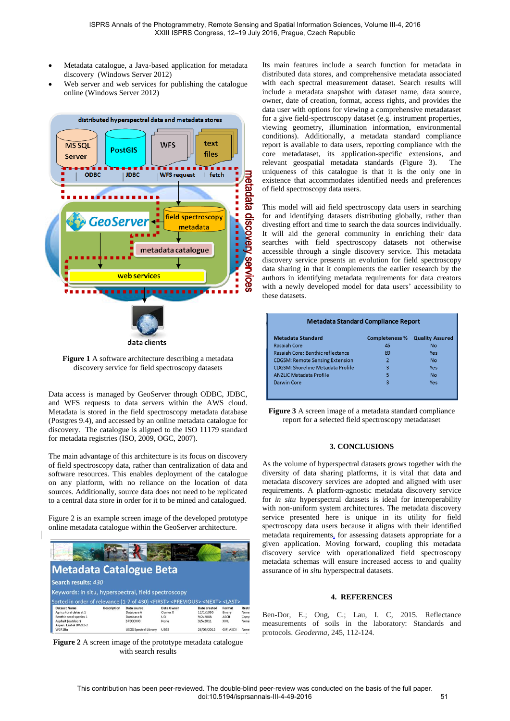- Metadata catalogue, a Java-based application for metadata discovery (Windows Server 2012)
- Web server and web services for publishing the catalogue online (Windows Server 2012)



**Figure 1** A software architecture describing a metadata discovery service for field spectroscopy datasets

Data access is managed by GeoServer through ODBC, JDBC, and WFS requests to data servers within the AWS cloud. Metadata is stored in the field spectroscopy metadata database (Postgres 9.4), and accessed by an online metadata catalogue for discovery. The catalogue is aligned to the ISO 11179 standard for metadata registries (ISO, 2009, OGC, 2007).

The main advantage of this architecture is its focus on discovery of field spectroscopy data, rather than centralization of data and software resources. This enables deployment of the catalogue on any platform, with no reliance on the location of data sources. Additionally, source data does not need to be replicated to a central data store in order for it to be mined and catalogued.

Figure 2 is an example screen image of the developed prototype online metadata catalogue within the GeoServer architecture.

|                                                                                                          |                    |             |             | и            |              |       |
|----------------------------------------------------------------------------------------------------------|--------------------|-------------|-------------|--------------|--------------|-------|
| <b>Metadata Catalogue Beta</b>                                                                           |                    |             |             |              |              |       |
| Search results: 430                                                                                      |                    |             |             |              |              |       |
| Keywords: in situ, hyperspectral, field spectroscopy                                                     |                    |             |             |              |              |       |
| Sorted in order of relevance (1-7 of 430) <first><previous><next><last></last></next></previous></first> |                    |             |             |              |              |       |
| <b>Dataset Name</b>                                                                                      | <b>Description</b> | Data source | Data Owner  |              |              |       |
|                                                                                                          |                    |             |             | Date created | Format       | Restr |
| Agricultural dataset 1                                                                                   |                    | Database A  | Owner X     | 12/1/1995    | Binary       | None  |
| Benthic coral species 1                                                                                  |                    | Database B  | UQ.         | 9/2/2008     | <b>ASCII</b> | Copyr |
| Asphalt (outdoor)<br>Aspen Leaf-A DW92-2                                                                 |                    | SPECCHIO    | <b>None</b> | 3/5/2011     | XML          | None  |

**Figure 2** A screen image of the prototype metadata catalogue with search results

Its main features include a search function for metadata in distributed data stores, and comprehensive metadata associated with each spectral measurement dataset. Search results will include a metadata snapshot with dataset name, data source, owner, date of creation, format, access rights, and provides the data user with options for viewing a comprehensive metadataset for a give field-spectroscopy dataset (e.g. instrument properties, viewing geometry, illumination information, environmental conditions). Additionally, a metadata standard compliance report is available to data users, reporting compliance with the core metadataset, its application-specific extensions, and relevant geospatial metadata standards (Figure 3). The uniqueness of this catalogue is that it is the only one in existence that accommodates identified needs and preferences of field spectroscopy data users.

This model will aid field spectroscopy data users in searching for and identifying datasets distributing globally, rather than divesting effort and time to search the data sources individually. It will aid the general community in enriching their data searches with field spectroscopy datasets not otherwise accessible through a single discovery service. This metadata discovery service presents an evolution for field spectroscopy data sharing in that it complements the earlier research by the authors in identifying metadata requirements for data creators with a newly developed model for data users' accessibility to these datasets.

| <b>Metadata Standard Compliance Report</b> |                       |                        |  |  |  |  |
|--------------------------------------------|-----------------------|------------------------|--|--|--|--|
| <b>Metadata Standard</b>                   | <b>Completeness %</b> | <b>Quality Assured</b> |  |  |  |  |
| Rasaiah Core                               | 45                    | No                     |  |  |  |  |
| Rasaiah Core: Benthic reflectance          | 89                    | Yes                    |  |  |  |  |
| <b>CDGSM: Remote Sensing Extension</b>     | $\overline{2}$        | No                     |  |  |  |  |
| CDGSM: Shoreline Metadata Profile          | 3                     | Yes                    |  |  |  |  |
| ANZLIC Metadata Profile                    | 5                     | No                     |  |  |  |  |
| Darwin Core                                | 3                     | Yes                    |  |  |  |  |
|                                            |                       |                        |  |  |  |  |

**Figure 3** A screen image of a metadata standard compliance report for a selected field spectroscopy metadataset

## **3. CONCLUSIONS**

As the volume of hyperspectral datasets grows together with the diversity of data sharing platforms, it is vital that data and metadata discovery services are adopted and aligned with user requirements. A platform-agnostic metadata discovery service for *in situ* hyperspectral datasets is ideal for interoperability with non-uniform system architectures. The metadata discovery service presented here is unique in its utility for field spectroscopy data users because it aligns with their identified metadata requirements, for assessing datasets appropriate for a given application. Moving forward, coupling this metadata discovery service with operationalized field spectroscopy metadata schemas will ensure increased access to and quality assurance of *in situ* hyperspectral datasets.

# **4. REFERENCES**

Ben-Dor, E.; Ong, C.; Lau, I. C, 2015. Reflectance measurements of soils in the laboratory: Standards and protocols. *Geoderma*, 245, 112-124.